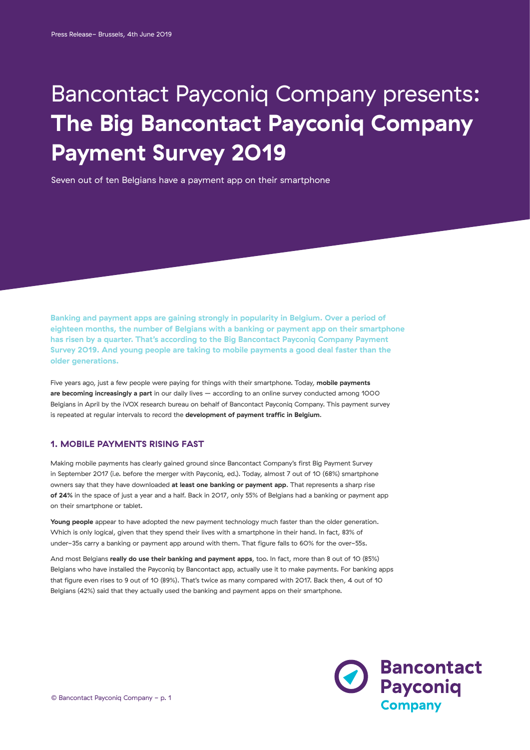# Bancontact Payconiq Company presents: **The Big Bancontact Payconiq Company Payment Survey 2019**

Seven out of ten Belgians have a payment app on their smartphone

**Banking and payment apps are gaining strongly in popularity in Belgium. Over a period of eighteen months, the number of Belgians with a banking or payment app on their smartphone has risen by a quarter. That's according to the Big Bancontact Payconiq Company Payment Survey 2019. And young people are taking to mobile payments a good deal faster than the older generations.** 

Five years ago, just a few people were paying for things with their smartphone. Today, **mobile payments are becoming increasingly a part** in our daily lives – according to an online survey conducted among 1000 Belgians in April by the iVOX research bureau on behalf of Bancontact Payconiq Company. This payment survey is repeated at regular intervals to record the **development of payment traffic in Belgium**.

# **1. MOBILE PAYMENTS RISING FAST**

Making mobile payments has clearly gained ground since Bancontact Company's first Big Payment Survey in September 2017 (i.e. before the merger with Payconiq, ed.). Today, almost 7 out of 10 (68%) smartphone owners say that they have downloaded **at least one banking or payment app**. That represents a sharp rise **of 24%** in the space of just a year and a half. Back in 2017, only 55% of Belgians had a banking or payment app on their smartphone or tablet.

Young people appear to have adopted the new payment technology much faster than the older generation. Which is only logical, given that they spend their lives with a smartphone in their hand. In fact, 83% of under-35s carry a banking or payment app around with them. That figure falls to 60% for the over-55s.

And most Belgians **really do use their banking and payment apps**, too. In fact, more than 8 out of 10 (85%) Belgians who have installed the Payconiq by Bancontact app, actually use it to make payments. For banking apps that figure even rises to 9 out of 10 (89%). That's twice as many compared with 2017. Back then, 4 out of 10 Belgians (42%) said that they actually used the banking and payment apps on their smartphone.

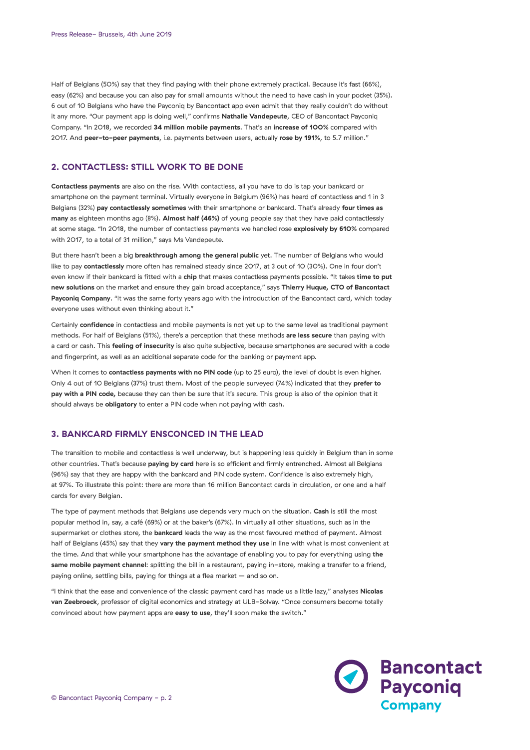Half of Belgians (50%) say that they find paying with their phone extremely practical. Because it's fast (66%), easy (62%) and because you can also pay for small amounts without the need to have cash in your pocket (35%). 6 out of 10 Belgians who have the Payconiq by Bancontact app even admit that they really couldn't do without it any more. "Our payment app is doing well," confirms **Nathalie Vandepeute**, CEO of Bancontact Payconiq Company. "In 2018, we recorded **34 million mobile payments**. That's an **increase of 100%** compared with 2017. And **peer-to-peer payments**, i.e. payments between users, actually **rose by 191%**, to 5.7 million."

## **2. CONTACTLESS: STILL WORK TO BE DONE**

**Contactless payments** are also on the rise. With contactless, all you have to do is tap your bankcard or smartphone on the payment terminal. Virtually everyone in Belgium (96%) has heard of contactless and 1 in 3 Belgians (32%) **pay contactlessly sometimes** with their smartphone or bankcard. That's already **four times as many** as eighteen months ago (8%). **Almost half (46%)** of young people say that they have paid contactlessly at some stage. "In 2018, the number of contactless payments we handled rose **explosively by 610%** compared with 2017, to a total of 31 million," says Ms Vandepeute.

But there hasn't been a big **breakthrough among the general public** yet. The number of Belgians who would like to pay **contactlessly** more often has remained steady since 2017, at 3 out of 10 (30%). One in four don't even know if their bankcard is fitted with a **chip** that makes contactless payments possible. "It takes **time to put new solutions** on the market and ensure they gain broad acceptance," says **Thierry Huque, CTO of Bancontact Payconiq Company**. "It was the same forty years ago with the introduction of the Bancontact card, which today everyone uses without even thinking about it."

Certainly **confidence** in contactless and mobile payments is not yet up to the same level as traditional payment methods. For half of Belgians (51%), there's a perception that these methods **are less secure** than paying with a card or cash. This **feeling of insecurity** is also quite subjective, because smartphones are secured with a code and fingerprint, as well as an additional separate code for the banking or payment app.

When it comes to **contactless payments with no PIN code** (up to 25 euro), the level of doubt is even higher. Only 4 out of 10 Belgians (37%) trust them. Most of the people surveyed (74%) indicated that they **prefer to pay with a PIN code,** because they can then be sure that it's secure. This group is also of the opinion that it should always be **obligatory** to enter a PIN code when not paying with cash.

## **3. BANKCARD FIRMLY ENSCONCED IN THE LEAD**

The transition to mobile and contactless is well underway, but is happening less quickly in Belgium than in some other countries. That's because **paying by card** here is so efficient and firmly entrenched. Almost all Belgians (96%) say that they are happy with the bankcard and PIN code system. Confidence is also extremely high, at 97%. To illustrate this point: there are more than 16 million Bancontact cards in circulation, or one and a half cards for every Belgian.

The type of payment methods that Belgians use depends very much on the situation. **Cash** is still the most popular method in, say, a café (69%) or at the baker's (67%). In virtually all other situations, such as in the supermarket or clothes store, the **bankcard** leads the way as the most favoured method of payment. Almost half of Belgians (45%) say that they **vary the payment method they use** in line with what is most convenient at the time. And that while your smartphone has the advantage of enabling you to pay for everything using **the same mobile payment channel**: splitting the bill in a restaurant, paying in-store, making a transfer to a friend, paying online, settling bills, paying for things at a flea market – and so on.

"I think that the ease and convenience of the classic payment card has made us a little lazy," analyses **Nicolas van Zeebroeck**, professor of digital economics and strategy at ULB-Solvay. "Once consumers become totally convinced about how payment apps are **easy to use**, they'll soon make the switch."

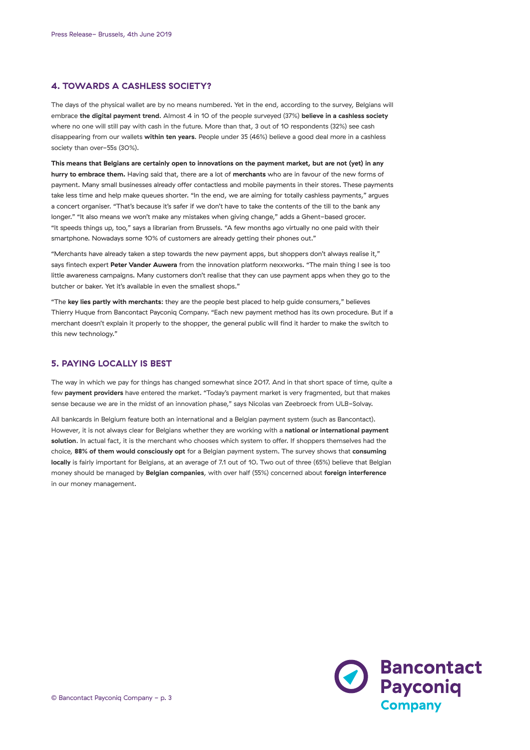## **4. TOWARDS A CASHLESS SOCIETY?**

The days of the physical wallet are by no means numbered. Yet in the end, according to the survey, Belgians will embrace **the digital payment trend**. Almost 4 in 10 of the people surveyed (37%) **believe in a cashless society** where no one will still pay with cash in the future. More than that, 3 out of 10 respondents (32%) see cash disappearing from our wallets **within ten years**. People under 35 (46%) believe a good deal more in a cashless society than over-55s (30%).

**This means that Belgians are certainly open to innovations on the payment market, but are not (yet) in any hurry to embrace them.** Having said that, there are a lot of **merchants** who are in favour of the new forms of payment. Many small businesses already offer contactless and mobile payments in their stores. These payments take less time and help make queues shorter. "In the end, we are aiming for totally cashless payments," argues a concert organiser. "That's because it's safer if we don't have to take the contents of the till to the bank any longer." "It also means we won't make any mistakes when giving change," adds a Ghent-based grocer. "It speeds things up, too," says a librarian from Brussels. "A few months ago virtually no one paid with their smartphone. Nowadays some 10% of customers are already getting their phones out."

"Merchants have already taken a step towards the new payment apps, but shoppers don't always realise it," says fintech expert **Peter Vander Auwera** from the innovation platform nexxworks. "The main thing I see is too little awareness campaigns. Many customers don't realise that they can use payment apps when they go to the butcher or baker. Yet it's available in even the smallest shops."

"The **key lies partly with merchants**: they are the people best placed to help guide consumers," believes Thierry Huque from Bancontact Payconiq Company. "Each new payment method has its own procedure. But if a merchant doesn't explain it properly to the shopper, the general public will find it harder to make the switch to this new technology."

## **5. PAYING LOCALLY IS BEST**

The way in which we pay for things has changed somewhat since 2017. And in that short space of time, quite a few **payment providers** have entered the market. "Today's payment market is very fragmented, but that makes sense because we are in the midst of an innovation phase," says Nicolas van Zeebroeck from ULB-Solvay.

All bankcards in Belgium feature both an international and a Belgian payment system (such as Bancontact). However, it is not always clear for Belgians whether they are working with a **national or international payment solution**. In actual fact, it is the merchant who chooses which system to offer. If shoppers themselves had the choice, **88% of them would consciously opt** for a Belgian payment system. The survey shows that **consuming locally** is fairly important for Belgians, at an average of 7.1 out of 10. Two out of three (65%) believe that Belgian money should be managed by **Belgian companies**, with over half (55%) concerned about **foreign interference** in our money management.